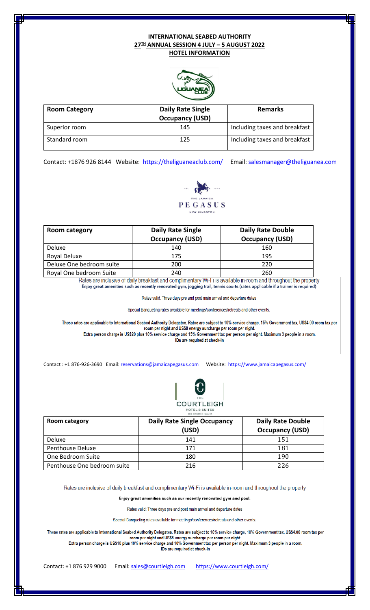## **INTERNATIONAL SEABED AUTHORITY 27TH ANNUAL SESSION 4 JULY – 5 AUGUST 2022 HOTEL INFORMATION**



| <b>Room Category</b> | <b>Daily Rate Single</b><br><b>Occupancy (USD)</b> | <b>Remarks</b>                |
|----------------------|----------------------------------------------------|-------------------------------|
| Superior room        | 145                                                | Including taxes and breakfast |
| Standard room        | 125                                                | Including taxes and breakfast |

Contact: +1876 926 8144 Website: <https://theliguaneaclub.com/>Email: [salesmanager@theliguanea.com](mailto:salesmanager@theliguanea.com)



| Room category            | <b>Daily Rate Single</b><br><b>Occupancy (USD)</b> | <b>Daily Rate Double</b><br><b>Occupancy (USD)</b> |
|--------------------------|----------------------------------------------------|----------------------------------------------------|
| <b>Deluxe</b>            | 140                                                | 160                                                |
| Royal Deluxe             | 175                                                | 195                                                |
| Deluxe One bedroom suite | 200                                                | 220                                                |
| Royal One bedroom Suite  | 240                                                | 260                                                |

Rates are inclusive of daily breakfast and complimentary Wi-Fi is available in-room and throughout the property Enjoy great amenities such as recently renovated gym, jogging trail, tennis courts (rates applicable if a trainer is required)

Rates valid: Three days pre and post main arrival and departure dates

Special Banqueting rates available for meetings/conferences/retreats and other events.

These rates are applicable to International Seabed Authority Delegates. Rates are subject to 10% service charge, 15% Government tax, US\$4.00 room tax per<br>room per night and US\$8 energy surcharge per room per night.<br>Extra p IDs are required at check-in

Contact : +1 876-926-3690 Email[: reservations@jamaicapegasus.com](mailto:reservations@jamaicapegasus.com) Website:<https://www.jamaicapegasus.com/>



| Room category               | <b>Daily Rate Single Occupancy</b><br>(USD) | <b>Daily Rate Double</b><br><b>Occupancy (USD)</b> |
|-----------------------------|---------------------------------------------|----------------------------------------------------|
| Deluxe                      | 141                                         | 151                                                |
| Penthouse Deluxe            | 171                                         | 181                                                |
| One Bedroom Suite           | 180                                         | 190                                                |
| Penthouse One bedroom suite | 216                                         | 226                                                |

Rates are inclusive of daily breakfast and complimentary Wi-Fi is available in-room and throughout the property

Enjoy great amenities such as our recently renovated gym and pool.

Rates valid: Three days pre and post main arrival and departure dates

Special Banqueting rates available for meetings/conferences/retreats and other events.

These rates are applicable to International Seabed Authority Delegates. Rates are subject to 10% service charge, 10% Government tax, US\$4.00 room tax per are applicable to international seabed Authority Delegates. Nates are subject to 10% service charge, 10% Sovernment tax, 0334.001<br>room per night and US\$8 energy surcharge per room per night.<br>Extra person charge is US\$10 pl

IDs are required at check-in

Contact: +1 876 929 9000 Email: [sales@courtleigh.com](mailto:sales@courtleigh.com) <https://www.courtleigh.com/>